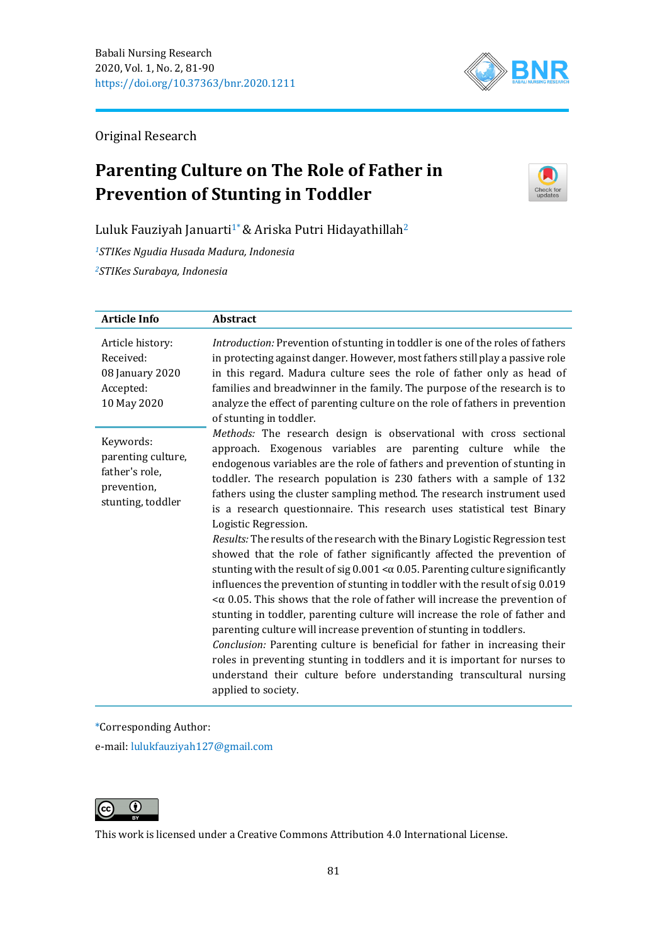

Original Research

# **Parenting Culture on The Role of Father in Prevention of Stunting in Toddler**



Luluk Fauziyah Januarti<sup>1\*</sup> & Ariska Putri Hidayathillah<sup>2</sup>

*<sup>1</sup>STIKes Ngudia Husada Madura, Indonesia <sup>2</sup>STIKes Surabaya, Indonesia*

| <b>Article Info</b>                                                                   | Abstract                                                                                                                                                                                                                                                                                                                                                                                                                                                                                                                                                                                                                                                                                                                                                    |
|---------------------------------------------------------------------------------------|-------------------------------------------------------------------------------------------------------------------------------------------------------------------------------------------------------------------------------------------------------------------------------------------------------------------------------------------------------------------------------------------------------------------------------------------------------------------------------------------------------------------------------------------------------------------------------------------------------------------------------------------------------------------------------------------------------------------------------------------------------------|
| Article history:<br>Received:<br>08 January 2020<br>Accepted:<br>10 May 2020          | Introduction: Prevention of stunting in toddler is one of the roles of fathers<br>in protecting against danger. However, most fathers still play a passive role<br>in this regard. Madura culture sees the role of father only as head of<br>families and breadwinner in the family. The purpose of the research is to<br>analyze the effect of parenting culture on the role of fathers in prevention<br>of stunting in toddler.                                                                                                                                                                                                                                                                                                                           |
| Keywords:<br>parenting culture,<br>father's role,<br>prevention,<br>stunting, toddler | Methods: The research design is observational with cross sectional<br>approach. Exogenous variables are parenting culture while the<br>endogenous variables are the role of fathers and prevention of stunting in<br>toddler. The research population is 230 fathers with a sample of 132<br>fathers using the cluster sampling method. The research instrument used<br>is a research questionnaire. This research uses statistical test Binary<br>Logistic Regression.<br>Results: The results of the research with the Binary Logistic Regression test                                                                                                                                                                                                    |
|                                                                                       | showed that the role of father significantly affected the prevention of<br>stunting with the result of sig $0.001 < \alpha$ 0.05. Parenting culture significantly<br>influences the prevention of stunting in toddler with the result of sig 0.019<br>$<$ $\alpha$ 0.05. This shows that the role of father will increase the prevention of<br>stunting in toddler, parenting culture will increase the role of father and<br>parenting culture will increase prevention of stunting in toddlers.<br>Conclusion: Parenting culture is beneficial for father in increasing their<br>roles in preventing stunting in toddlers and it is important for nurses to<br>understand their culture before understanding transcultural nursing<br>applied to society. |

\*Corresponding Author:

e-mail: [lulukfauziyah127@gmail.com](mailto:lulukfauziyah127@gmail.com)



This work is licensed under a [Creative Commons Attribution 4.0 International License.](https://creativecommons.org/licenses/by/4.0/)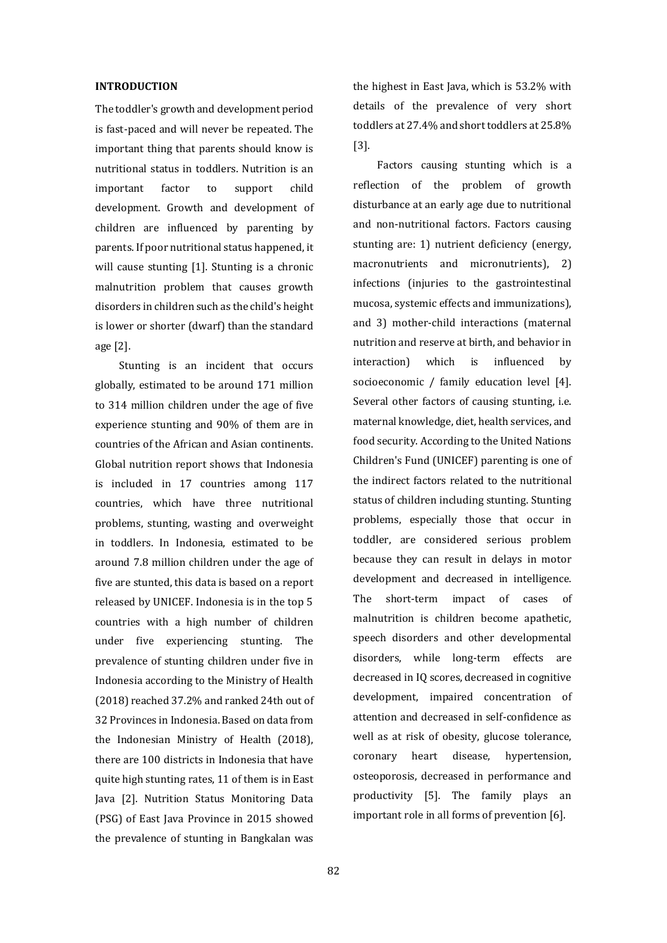#### **INTRODUCTION**

The toddler's growth and development period is fast-paced and will never be repeated. The important thing that parents should know is nutritional status in toddlers. Nutrition is an important factor to support child development. Growth and development of children are influenced by parenting by parents. If poor nutritional status happened, it will cause stunting [1]. Stunting is a chronic malnutrition problem that causes growth disorders in children such as the child's height is lower or shorter (dwarf) than the standard age [2].

Stunting is an incident that occurs globally, estimated to be around 171 million to 314 million children under the age of five experience stunting and 90% of them are in countries of the African and Asian continents. Global nutrition report shows that Indonesia is included in 17 countries among 117 countries, which have three nutritional problems, stunting, wasting and overweight in toddlers. In Indonesia, estimated to be around 7.8 million children under the age of five are stunted, this data is based on a report released by UNICEF. Indonesia is in the top 5 countries with a high number of children under five experiencing stunting. The prevalence of stunting children under five in Indonesia according to the Ministry of Health (2018) reached 37.2% and ranked 24th out of 32 Provinces in Indonesia. Based on data from the Indonesian Ministry of Health (2018), there are 100 districts in Indonesia that have quite high stunting rates, 11 of them is in East Java [2]. Nutrition Status Monitoring Data (PSG) of East Java Province in 2015 showed the prevalence of stunting in Bangkalan was

the highest in East Java, which is 53.2% with details of the prevalence of very short toddlers at 27.4% and short toddlers at 25.8% [3].

Factors causing stunting which is a reflection of the problem of growth disturbance at an early age due to nutritional and non-nutritional factors. Factors causing stunting are: 1) nutrient deficiency (energy, macronutrients and micronutrients), 2) infections (injuries to the gastrointestinal mucosa, systemic effects and immunizations), and 3) mother-child interactions (maternal nutrition and reserve at birth, and behavior in interaction) which is influenced by socioeconomic / family education level [4]. Several other factors of causing stunting, i.e. maternal knowledge, diet, health services, and food security. According to the United Nations Children's Fund (UNICEF) parenting is one of the indirect factors related to the nutritional status of children including stunting. Stunting problems, especially those that occur in toddler, are considered serious problem because they can result in delays in motor development and decreased in intelligence. The short-term impact of cases of malnutrition is children become apathetic, speech disorders and other developmental disorders, while long-term effects are decreased in IQ scores, decreased in cognitive development, impaired concentration of attention and decreased in self-confidence as well as at risk of obesity, glucose tolerance, coronary heart disease, hypertension, osteoporosis, decreased in performance and productivity [5]. The family plays an important role in all forms of prevention [6].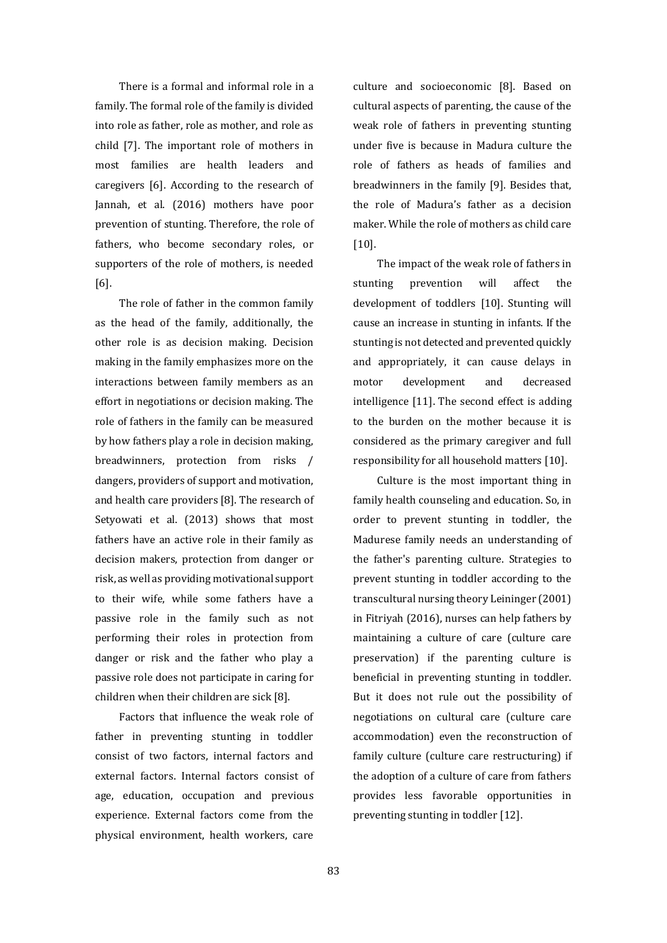There is a formal and informal role in a family. The formal role of the family is divided into role as father, role as mother, and role as child [7]. The important role of mothers in most families are health leaders and caregivers [6]. According to the research of Jannah, et al. (2016) mothers have poor prevention of stunting. Therefore, the role of fathers, who become secondary roles, or supporters of the role of mothers, is needed [6].

The role of father in the common family as the head of the family, additionally, the other role is as decision making. Decision making in the family emphasizes more on the interactions between family members as an effort in negotiations or decision making. The role of fathers in the family can be measured by how fathers play a role in decision making, breadwinners, protection from risks / dangers, providers of support and motivation, and health care providers [8]. The research of Setyowati et al. (2013) shows that most fathers have an active role in their family as decision makers, protection from danger or risk, as well as providing motivational support to their wife, while some fathers have a passive role in the family such as not performing their roles in protection from danger or risk and the father who play a passive role does not participate in caring for children when their children are sick [8].

Factors that influence the weak role of father in preventing stunting in toddler consist of two factors, internal factors and external factors. Internal factors consist of age, education, occupation and previous experience. External factors come from the physical environment, health workers, care culture and socioeconomic [8]. Based on cultural aspects of parenting, the cause of the weak role of fathers in preventing stunting under five is because in Madura culture the role of fathers as heads of families and breadwinners in the family [9]. Besides that, the role of Madura's father as a decision maker. While the role of mothers as child care [10].

The impact of the weak role of fathers in stunting prevention will affect the development of toddlers [10]. Stunting will cause an increase in stunting in infants. If the stunting is not detected and prevented quickly and appropriately, it can cause delays in motor development and decreased intelligence [11]. The second effect is adding to the burden on the mother because it is considered as the primary caregiver and full responsibility for all household matters [10].

Culture is the most important thing in family health counseling and education. So, in order to prevent stunting in toddler, the Madurese family needs an understanding of the father's parenting culture. Strategies to prevent stunting in toddler according to the transcultural nursing theory Leininger (2001) in Fitriyah (2016), nurses can help fathers by maintaining a culture of care (culture care preservation) if the parenting culture is beneficial in preventing stunting in toddler. But it does not rule out the possibility of negotiations on cultural care (culture care accommodation) even the reconstruction of family culture (culture care restructuring) if the adoption of a culture of care from fathers provides less favorable opportunities in preventing stunting in toddler [12].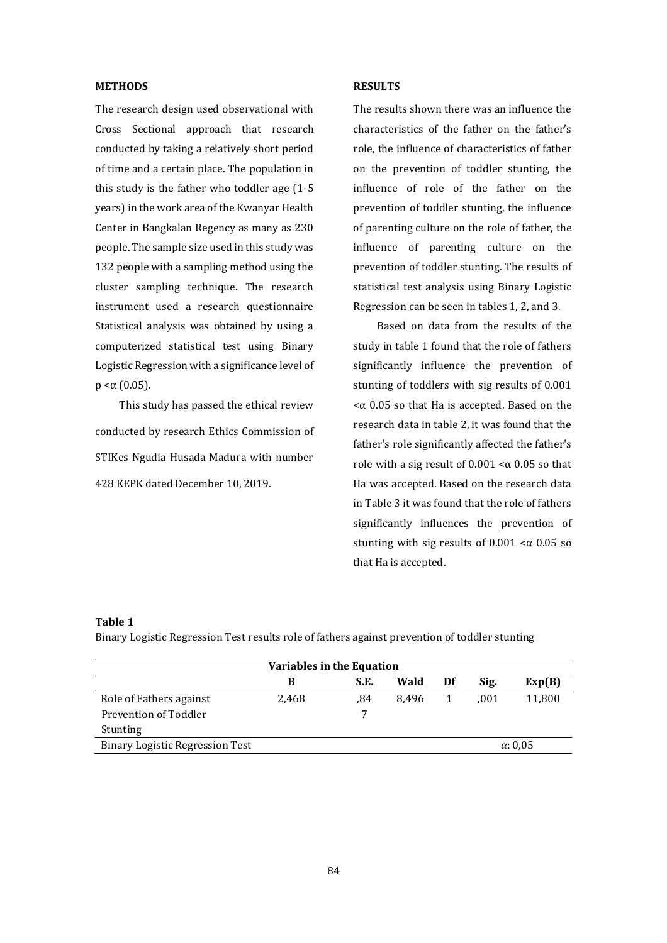### **METHODS**

The research design used observational with Cross Sectional approach that research conducted by taking a relatively short period of time and a certain place. The population in this study is the father who toddler age (1-5 years) in the work area of the Kwanyar Health Center in Bangkalan Regency as many as 230 people. The sample size used in this study was 132 people with a sampling method using the cluster sampling technique. The research instrument used a research questionnaire Statistical analysis was obtained by using a computerized statistical test using Binary Logistic Regression with a significance level of  $p < \alpha$  (0.05).

This study has passed the ethical review conducted by research Ethics Commission of STIKes Ngudia Husada Madura with number 428 KEPK dated December 10, 2019.

#### **RESULTS**

The results shown there was an influence the characteristics of the father on the father's role, the influence of characteristics of father on the prevention of toddler stunting, the influence of role of the father on the prevention of toddler stunting, the influence of parenting culture on the role of father, the influence of parenting culture on the prevention of toddler stunting. The results of statistical test analysis using Binary Logistic Regression can be seen in tables 1, 2, and 3.

Based on data from the results of the study in table 1 found that the role of fathers significantly influence the prevention of stunting of toddlers with sig results of 0.001  $<sub>α</sub>$  0.05 so that Ha is accepted. Based on the</sub> research data in table 2, it was found that the father's role significantly affected the father's role with a sig result of  $0.001 < \alpha$  0.05 so that Ha was accepted. Based on the research data in Table 3 it was found that the role of fathers significantly influences the prevention of stunting with sig results of  $0.001 < \alpha$  0.05 so that Ha is accepted.

#### **Table 1**

Binary Logistic Regression Test results role of fathers against prevention of toddler stunting

| Variables in the Equation              |       |      |       |    |      |                 |  |
|----------------------------------------|-------|------|-------|----|------|-----------------|--|
|                                        | в     | S.E. | Wald  | Df | Sig. | Exp(B)          |  |
| Role of Fathers against                | 2.468 | .84  | 8.496 |    | .001 | 11,800          |  |
| Prevention of Toddler                  |       | 7    |       |    |      |                 |  |
| <b>Stunting</b>                        |       |      |       |    |      |                 |  |
| <b>Binary Logistic Regression Test</b> |       |      |       |    |      | $\alpha$ : 0.05 |  |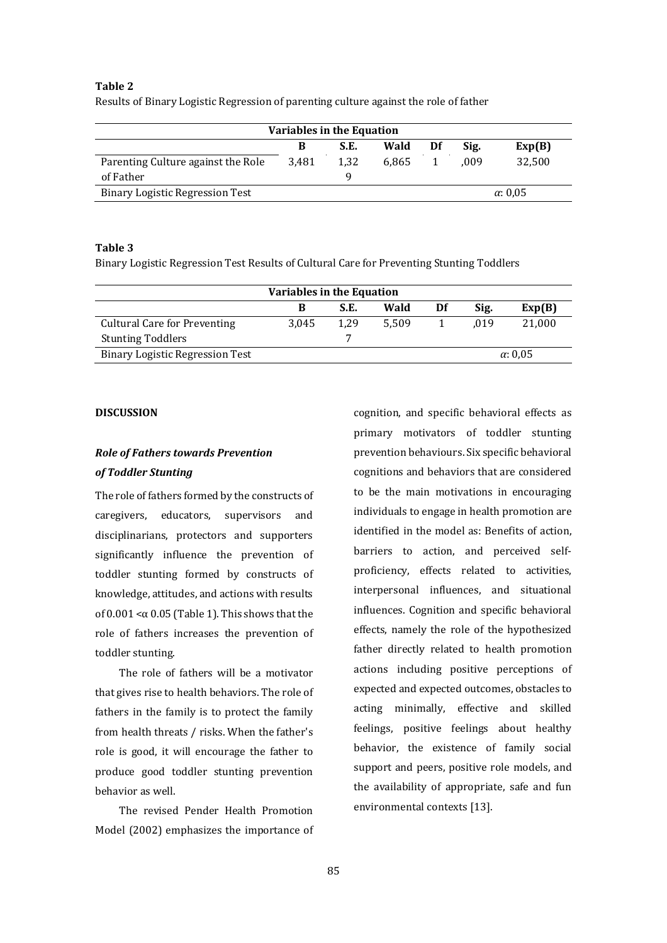## **Table 2**

Results of Binary Logistic Regression of parenting culture against the role of father

| <b>Variables in the Equation</b>       |       |      |       |    |                 |        |
|----------------------------------------|-------|------|-------|----|-----------------|--------|
|                                        | В     | S.E. | Wald  | Df | Sig.            | Exp(B) |
| Parenting Culture against the Role     | 3.481 | 1.32 | 6.865 |    | .009            | 32.500 |
| of Father                              |       |      |       |    |                 |        |
| <b>Binary Logistic Regression Test</b> |       |      |       |    | $\alpha$ : 0.05 |        |

#### **Table 3**

Binary Logistic Regression Test Results of Cultural Care for Preventing Stunting Toddlers

| Variables in the Equation           |       |      |       |    |      |                 |
|-------------------------------------|-------|------|-------|----|------|-----------------|
|                                     | в     | S.E. | Wald  | Df | Sig. | Exp(B)          |
| <b>Cultural Care for Preventing</b> | 3.045 | 1.29 | 5.509 |    | .019 | 21.000          |
| <b>Stunting Toddlers</b>            |       |      |       |    |      |                 |
| Binary Logistic Regression Test     |       |      |       |    |      | $\alpha$ : 0.05 |

#### **DISCUSSION**

# *Role of Fathers towards Prevention of Toddler Stunting*

The role of fathers formed by the constructs of caregivers, educators, supervisors and disciplinarians, protectors and supporters significantly influence the prevention of toddler stunting formed by constructs of knowledge, attitudes, and actions with results of  $0.001 < \alpha$  0.05 (Table 1). This shows that the role of fathers increases the prevention of toddler stunting.

The role of fathers will be a motivator that gives rise to health behaviors. The role of fathers in the family is to protect the family from health threats / risks. When the father's role is good, it will encourage the father to produce good toddler stunting prevention behavior as well.

The revised Pender Health Promotion Model (2002) emphasizes the importance of cognition, and specific behavioral effects as primary motivators of toddler stunting prevention behaviours. Six specific behavioral cognitions and behaviors that are considered to be the main motivations in encouraging individuals to engage in health promotion are identified in the model as: Benefits of action, barriers to action, and perceived selfproficiency, effects related to activities, interpersonal influences, and situational influences. Cognition and specific behavioral effects, namely the role of the hypothesized father directly related to health promotion actions including positive perceptions of expected and expected outcomes, obstacles to acting minimally, effective and skilled feelings, positive feelings about healthy behavior, the existence of family social support and peers, positive role models, and the availability of appropriate, safe and fun environmental contexts [13].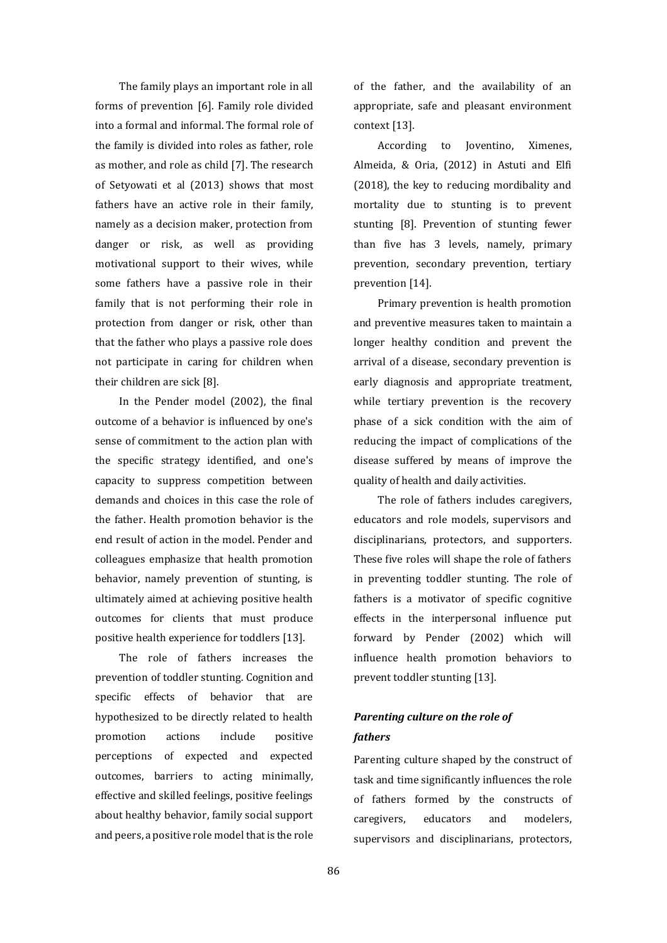The family plays an important role in all forms of prevention [6]. Family role divided into a formal and informal. The formal role of the family is divided into roles as father, role as mother, and role as child [7]. The research of Setyowati et al (2013) shows that most fathers have an active role in their family, namely as a decision maker, protection from danger or risk, as well as providing motivational support to their wives, while some fathers have a passive role in their family that is not performing their role in protection from danger or risk, other than that the father who plays a passive role does not participate in caring for children when their children are sick [8].

In the Pender model (2002), the final outcome of a behavior is influenced by one's sense of commitment to the action plan with the specific strategy identified, and one's capacity to suppress competition between demands and choices in this case the role of the father. Health promotion behavior is the end result of action in the model. Pender and colleagues emphasize that health promotion behavior, namely prevention of stunting, is ultimately aimed at achieving positive health outcomes for clients that must produce positive health experience for toddlers [13].

The role of fathers increases the prevention of toddler stunting. Cognition and specific effects of behavior that are hypothesized to be directly related to health promotion actions include positive perceptions of expected and expected outcomes, barriers to acting minimally, effective and skilled feelings, positive feelings about healthy behavior, family social support and peers, a positive role model that is the role

of the father, and the availability of an appropriate, safe and pleasant environment context [13].

According to Joventino, Ximenes, Almeida, & Oria, (2012) in Astuti and Elfi (2018), the key to reducing mordibality and mortality due to stunting is to prevent stunting [8]. Prevention of stunting fewer than five has 3 levels, namely, primary prevention, secondary prevention, tertiary prevention [14].

Primary prevention is health promotion and preventive measures taken to maintain a longer healthy condition and prevent the arrival of a disease, secondary prevention is early diagnosis and appropriate treatment, while tertiary prevention is the recovery phase of a sick condition with the aim of reducing the impact of complications of the disease suffered by means of improve the quality of health and daily activities.

The role of fathers includes caregivers, educators and role models, supervisors and disciplinarians, protectors, and supporters. These five roles will shape the role of fathers in preventing toddler stunting. The role of fathers is a motivator of specific cognitive effects in the interpersonal influence put forward by Pender (2002) which will influence health promotion behaviors to prevent toddler stunting [13].

## *Parenting culture on the role of fathers*

Parenting culture shaped by the construct of task and time significantly influences the role of fathers formed by the constructs of caregivers, educators and modelers, supervisors and disciplinarians, protectors,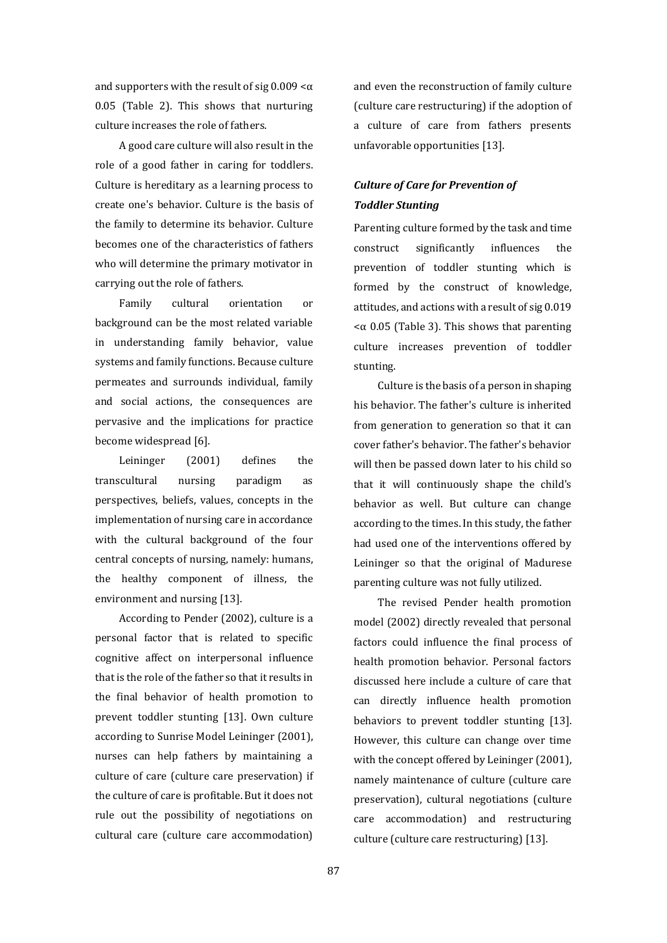and supporters with the result of sig  $0.009 < \alpha$ 0.05 (Table 2). This shows that nurturing culture increases the role of fathers.

A good care culture will also result in the role of a good father in caring for toddlers. Culture is hereditary as a learning process to create one's behavior. Culture is the basis of the family to determine its behavior. Culture becomes one of the characteristics of fathers who will determine the primary motivator in carrying out the role of fathers.

Family cultural orientation or background can be the most related variable in understanding family behavior, value systems and family functions. Because culture permeates and surrounds individual, family and social actions, the consequences are pervasive and the implications for practice become widespread [6].

Leininger (2001) defines the transcultural nursing paradigm as perspectives, beliefs, values, concepts in the implementation of nursing care in accordance with the cultural background of the four central concepts of nursing, namely: humans, the healthy component of illness, the environment and nursing [13].

According to Pender (2002), culture is a personal factor that is related to specific cognitive affect on interpersonal influence that is the role of the father so that it results in the final behavior of health promotion to prevent toddler stunting [13]. Own culture according to Sunrise Model Leininger (2001), nurses can help fathers by maintaining a culture of care (culture care preservation) if the culture of care is profitable. But it does not rule out the possibility of negotiations on cultural care (culture care accommodation)

and even the reconstruction of family culture (culture care restructuring) if the adoption of a culture of care from fathers presents unfavorable opportunities [13].

## *Culture of Care for Prevention of Toddler Stunting*

Parenting culture formed by the task and time construct significantly influences the prevention of toddler stunting which is formed by the construct of knowledge, attitudes, and actions with a result of sig 0.019 <α 0.05 (Table 3). This shows that parenting culture increases prevention of toddler stunting.

Culture is the basis of a person in shaping his behavior. The father's culture is inherited from generation to generation so that it can cover father's behavior. The father's behavior will then be passed down later to his child so that it will continuously shape the child's behavior as well. But culture can change according to the times. In this study, the father had used one of the interventions offered by Leininger so that the original of Madurese parenting culture was not fully utilized.

The revised Pender health promotion model (2002) directly revealed that personal factors could influence the final process of health promotion behavior. Personal factors discussed here include a culture of care that can directly influence health promotion behaviors to prevent toddler stunting [13]. However, this culture can change over time with the concept offered by Leininger (2001), namely maintenance of culture (culture care preservation), cultural negotiations (culture care accommodation) and restructuring culture (culture care restructuring) [13].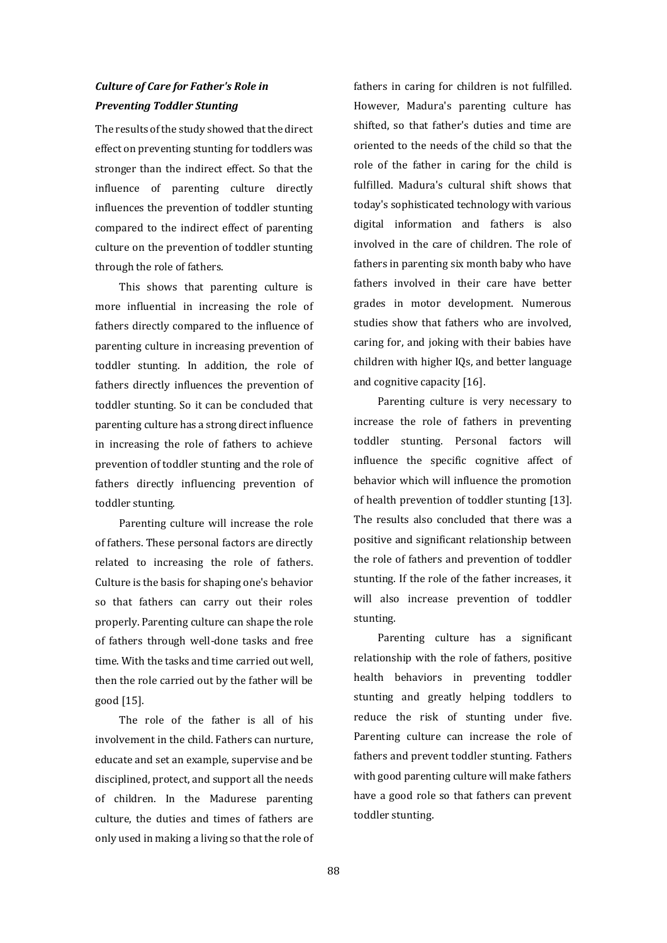# *Culture of Care for Father's Role in Preventing Toddler Stunting*

The results of the study showed that the direct effect on preventing stunting for toddlers was stronger than the indirect effect. So that the influence of parenting culture directly influences the prevention of toddler stunting compared to the indirect effect of parenting culture on the prevention of toddler stunting through the role of fathers.

This shows that parenting culture is more influential in increasing the role of fathers directly compared to the influence of parenting culture in increasing prevention of toddler stunting. In addition, the role of fathers directly influences the prevention of toddler stunting. So it can be concluded that parenting culture has a strong direct influence in increasing the role of fathers to achieve prevention of toddler stunting and the role of fathers directly influencing prevention of toddler stunting.

Parenting culture will increase the role of fathers. These personal factors are directly related to increasing the role of fathers. Culture is the basis for shaping one's behavior so that fathers can carry out their roles properly. Parenting culture can shape the role of fathers through well-done tasks and free time. With the tasks and time carried out well, then the role carried out by the father will be good [15].

The role of the father is all of his involvement in the child. Fathers can nurture, educate and set an example, supervise and be disciplined, protect, and support all the needs of children. In the Madurese parenting culture, the duties and times of fathers are only used in making a living so that the role of fathers in caring for children is not fulfilled. However, Madura's parenting culture has shifted, so that father's duties and time are oriented to the needs of the child so that the role of the father in caring for the child is fulfilled. Madura's cultural shift shows that today's sophisticated technology with various digital information and fathers is also involved in the care of children. The role of fathers in parenting six month baby who have fathers involved in their care have better grades in motor development. Numerous studies show that fathers who are involved, caring for, and joking with their babies have children with higher IQs, and better language and cognitive capacity [16].

Parenting culture is very necessary to increase the role of fathers in preventing toddler stunting. Personal factors will influence the specific cognitive affect of behavior which will influence the promotion of health prevention of toddler stunting [13]. The results also concluded that there was a positive and significant relationship between the role of fathers and prevention of toddler stunting. If the role of the father increases, it will also increase prevention of toddler stunting.

Parenting culture has a significant relationship with the role of fathers, positive health behaviors in preventing toddler stunting and greatly helping toddlers to reduce the risk of stunting under five. Parenting culture can increase the role of fathers and prevent toddler stunting. Fathers with good parenting culture will make fathers have a good role so that fathers can prevent toddler stunting.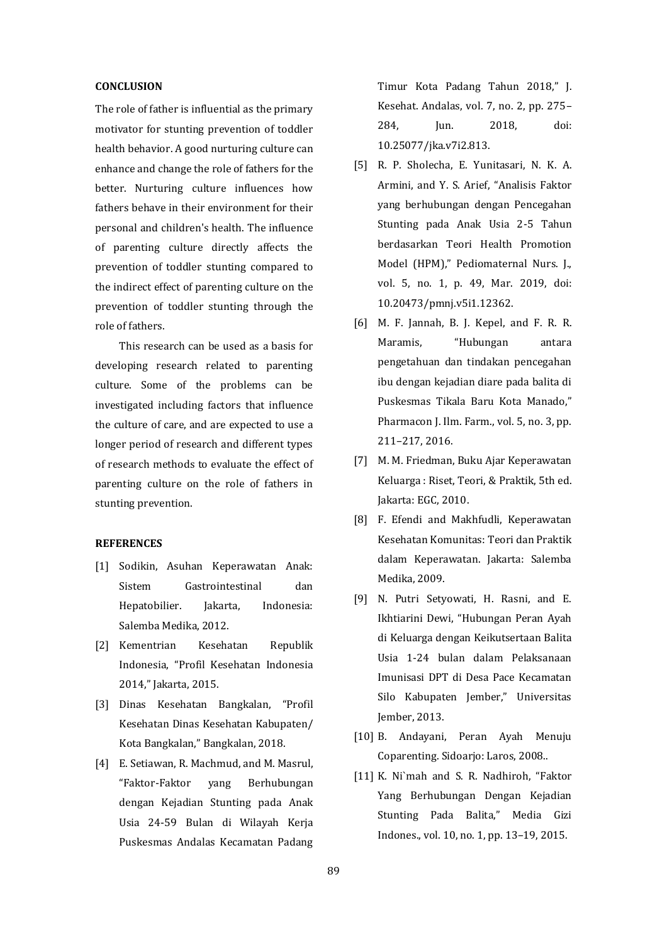#### **CONCLUSION**

The role of father is influential as the primary motivator for stunting prevention of toddler health behavior. A good nurturing culture can enhance and change the role of fathers for the better. Nurturing culture influences how fathers behave in their environment for their personal and children's health. The influence of parenting culture directly affects the prevention of toddler stunting compared to the indirect effect of parenting culture on the prevention of toddler stunting through the role of fathers.

This research can be used as a basis for developing research related to parenting culture. Some of the problems can be investigated including factors that influence the culture of care, and are expected to use a longer period of research and different types of research methods to evaluate the effect of parenting culture on the role of fathers in stunting prevention.

### **REFERENCES**

- [1] Sodikin, Asuhan Keperawatan Anak: Sistem Gastrointestinal dan Hepatobilier. Jakarta, Indonesia: Salemba Medika, 2012.
- [2] Kementrian Kesehatan Republik Indonesia, "Profil Kesehatan Indonesia 2014," Jakarta, 2015.
- [3] Dinas Kesehatan Bangkalan, "Profil Kesehatan Dinas Kesehatan Kabupaten/ Kota Bangkalan," Bangkalan, 2018.
- [4] E. Setiawan, R. Machmud, and M. Masrul, "Faktor-Faktor yang Berhubungan dengan Kejadian Stunting pada Anak Usia 24-59 Bulan di Wilayah Kerja Puskesmas Andalas Kecamatan Padang

Timur Kota Padang Tahun 2018," J. Kesehat. Andalas, vol. 7, no. 2, pp. 275– 284, Jun. 2018, doi: 10.25077/jka.v7i2.813.

- [5] R. P. Sholecha, E. Yunitasari, N. K. A. Armini, and Y. S. Arief, "Analisis Faktor yang berhubungan dengan Pencegahan Stunting pada Anak Usia 2-5 Tahun berdasarkan Teori Health Promotion Model (HPM)," Pediomaternal Nurs. J., vol. 5, no. 1, p. 49, Mar. 2019, doi: 10.20473/pmnj.v5i1.12362.
- [6] M. F. Jannah, B. J. Kepel, and F. R. R. Maramis, "Hubungan antara pengetahuan dan tindakan pencegahan ibu dengan kejadian diare pada balita di Puskesmas Tikala Baru Kota Manado," Pharmacon J. Ilm. Farm., vol. 5, no. 3, pp. 211–217, 2016.
- [7] M. M. Friedman, Buku Ajar Keperawatan Keluarga : Riset, Teori, & Praktik, 5th ed. Jakarta: EGC, 2010.
- [8] F. Efendi and Makhfudli, Keperawatan Kesehatan Komunitas: Teori dan Praktik dalam Keperawatan. Jakarta: Salemba Medika, 2009.
- [9] N. Putri Setyowati, H. Rasni, and E. Ikhtiarini Dewi, "Hubungan Peran Ayah di Keluarga dengan Keikutsertaan Balita Usia 1-24 bulan dalam Pelaksanaan Imunisasi DPT di Desa Pace Kecamatan Silo Kabupaten Jember," Universitas Jember, 2013.
- [10] B. Andayani, Peran Ayah Menuju Coparenting. Sidoarjo: Laros, 2008..
- [11] K. Ni`mah and S. R. Nadhiroh, "Faktor Yang Berhubungan Dengan Kejadian Stunting Pada Balita," Media Gizi Indones., vol. 10, no. 1, pp. 13–19, 2015.